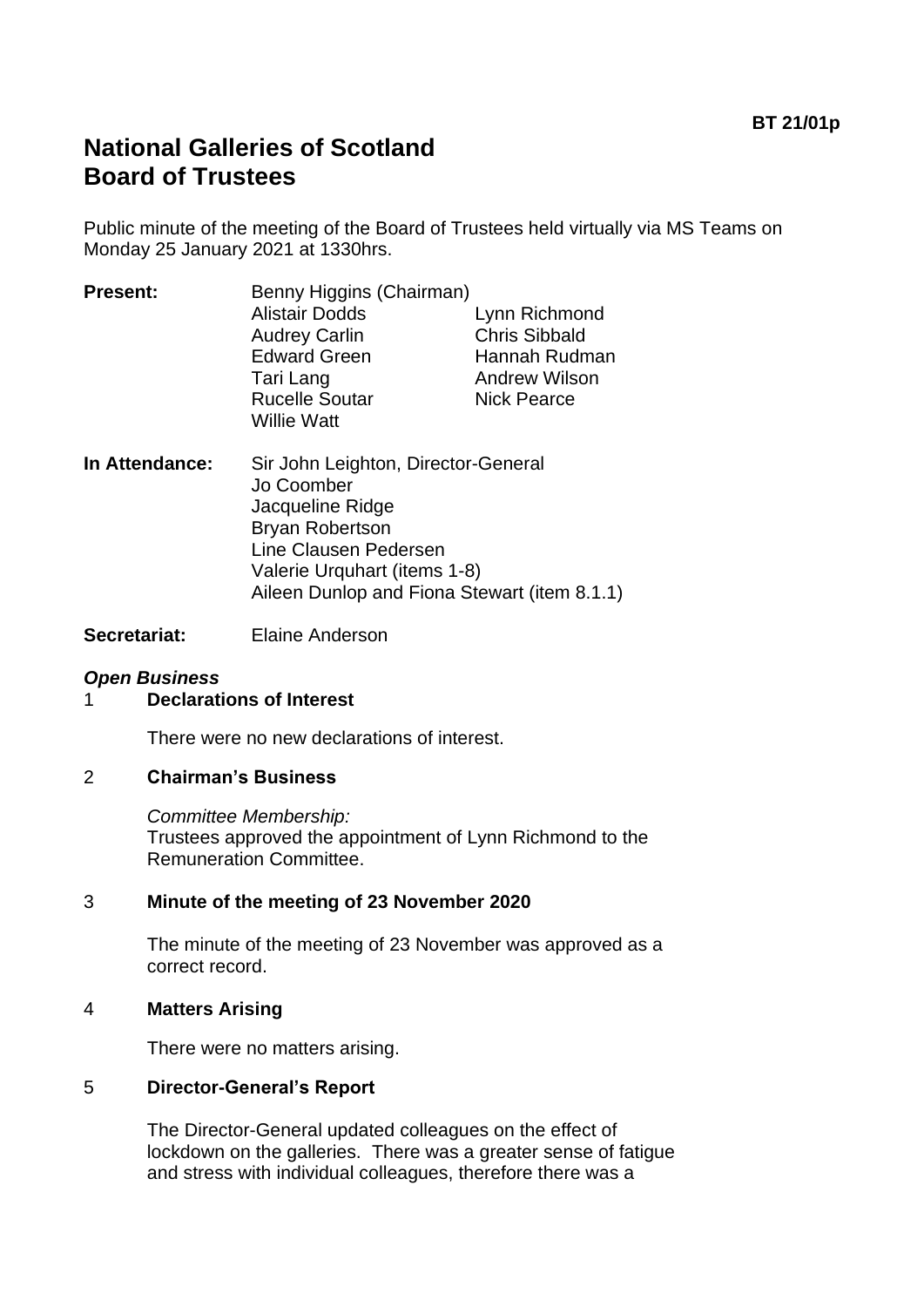# **National Galleries of Scotland Board of Trustees**

Public minute of the meeting of the Board of Trustees held virtually via MS Teams on Monday 25 January 2021 at 1330hrs.

| <b>Present:</b> | Benny Higgins (Chairman)                    |                      |
|-----------------|---------------------------------------------|----------------------|
|                 | <b>Alistair Dodds</b>                       | Lynn Richmond        |
|                 | <b>Audrey Carlin</b>                        | <b>Chris Sibbald</b> |
|                 | <b>Edward Green</b>                         | Hannah Rudman        |
|                 | Tari Lang                                   | <b>Andrew Wilson</b> |
|                 | <b>Rucelle Soutar</b><br><b>Willie Watt</b> | <b>Nick Pearce</b>   |
|                 |                                             |                      |

**In Attendance:** Sir John Leighton, Director-General Jo Coomber Jacqueline Ridge Bryan Robertson Line Clausen Pedersen Valerie Urquhart (items 1-8) Aileen Dunlop and Fiona Stewart (item 8.1.1)

**Secretariat:** Elaine Anderson

### *Open Business*

#### 1 **Declarations of Interest**

There were no new declarations of interest.

#### 2 **Chairman's Business**

*Committee Membership:* Trustees approved the appointment of Lynn Richmond to the Remuneration Committee.

### 3 **Minute of the meeting of 23 November 2020**

The minute of the meeting of 23 November was approved as a correct record.

#### 4 **Matters Arising**

There were no matters arising.

### 5 **Director-General's Report**

The Director-General updated colleagues on the effect of lockdown on the galleries. There was a greater sense of fatigue and stress with individual colleagues, therefore there was a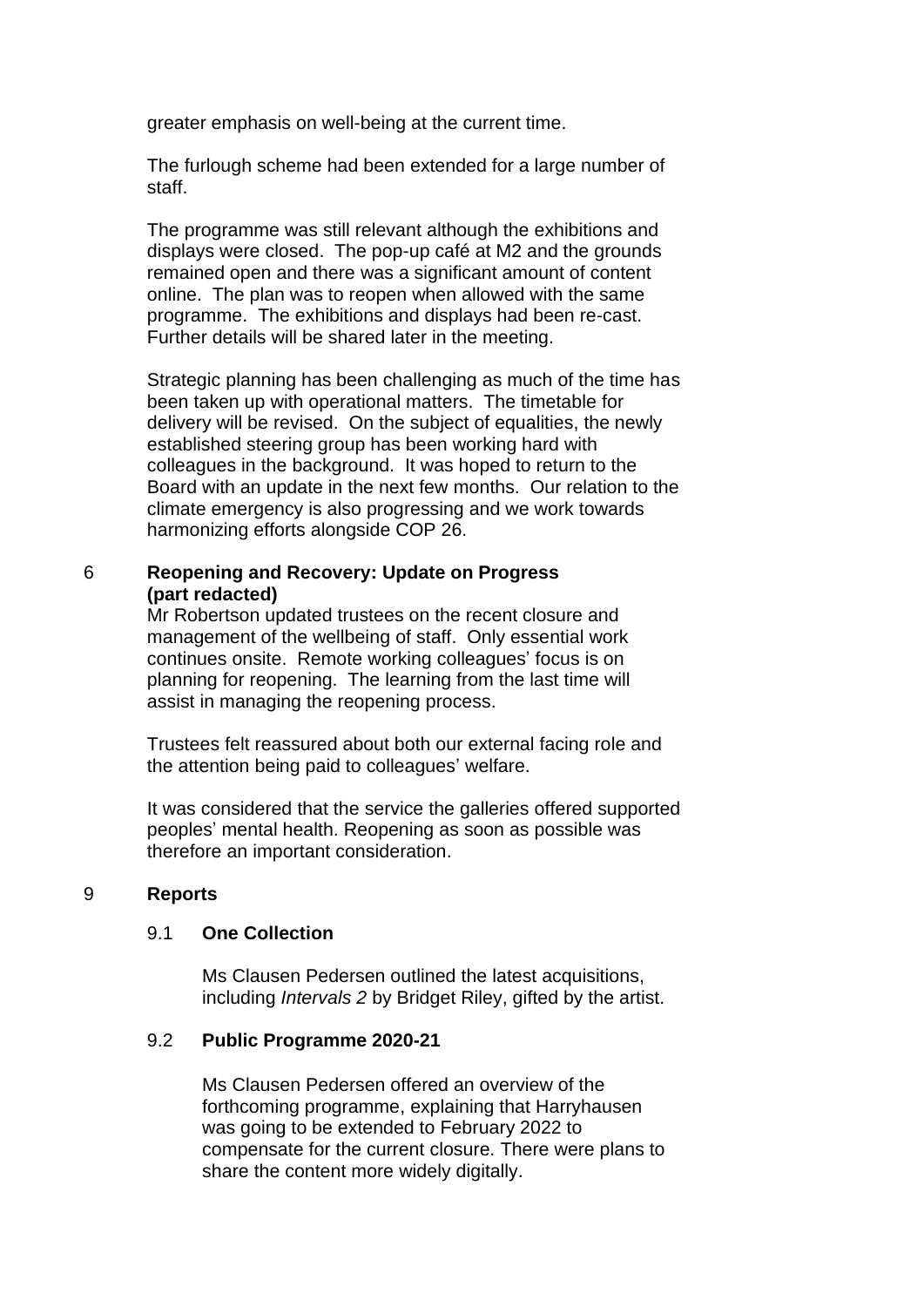greater emphasis on well-being at the current time.

The furlough scheme had been extended for a large number of staff.

The programme was still relevant although the exhibitions and displays were closed. The pop-up café at M2 and the grounds remained open and there was a significant amount of content online. The plan was to reopen when allowed with the same programme. The exhibitions and displays had been re-cast. Further details will be shared later in the meeting.

Strategic planning has been challenging as much of the time has been taken up with operational matters. The timetable for delivery will be revised. On the subject of equalities, the newly established steering group has been working hard with colleagues in the background. It was hoped to return to the Board with an update in the next few months. Our relation to the climate emergency is also progressing and we work towards harmonizing efforts alongside COP 26.

### 6 **Reopening and Recovery: Update on Progress (part redacted)**

Mr Robertson updated trustees on the recent closure and management of the wellbeing of staff. Only essential work continues onsite. Remote working colleagues' focus is on planning for reopening. The learning from the last time will assist in managing the reopening process.

Trustees felt reassured about both our external facing role and the attention being paid to colleagues' welfare.

It was considered that the service the galleries offered supported peoples' mental health. Reopening as soon as possible was therefore an important consideration.

#### 9 **Reports**

#### 9.1 **One Collection**

Ms Clausen Pedersen outlined the latest acquisitions, including *Intervals 2* by Bridget Riley, gifted by the artist.

#### 9.2 **Public Programme 2020-21**

Ms Clausen Pedersen offered an overview of the forthcoming programme, explaining that Harryhausen was going to be extended to February 2022 to compensate for the current closure. There were plans to share the content more widely digitally.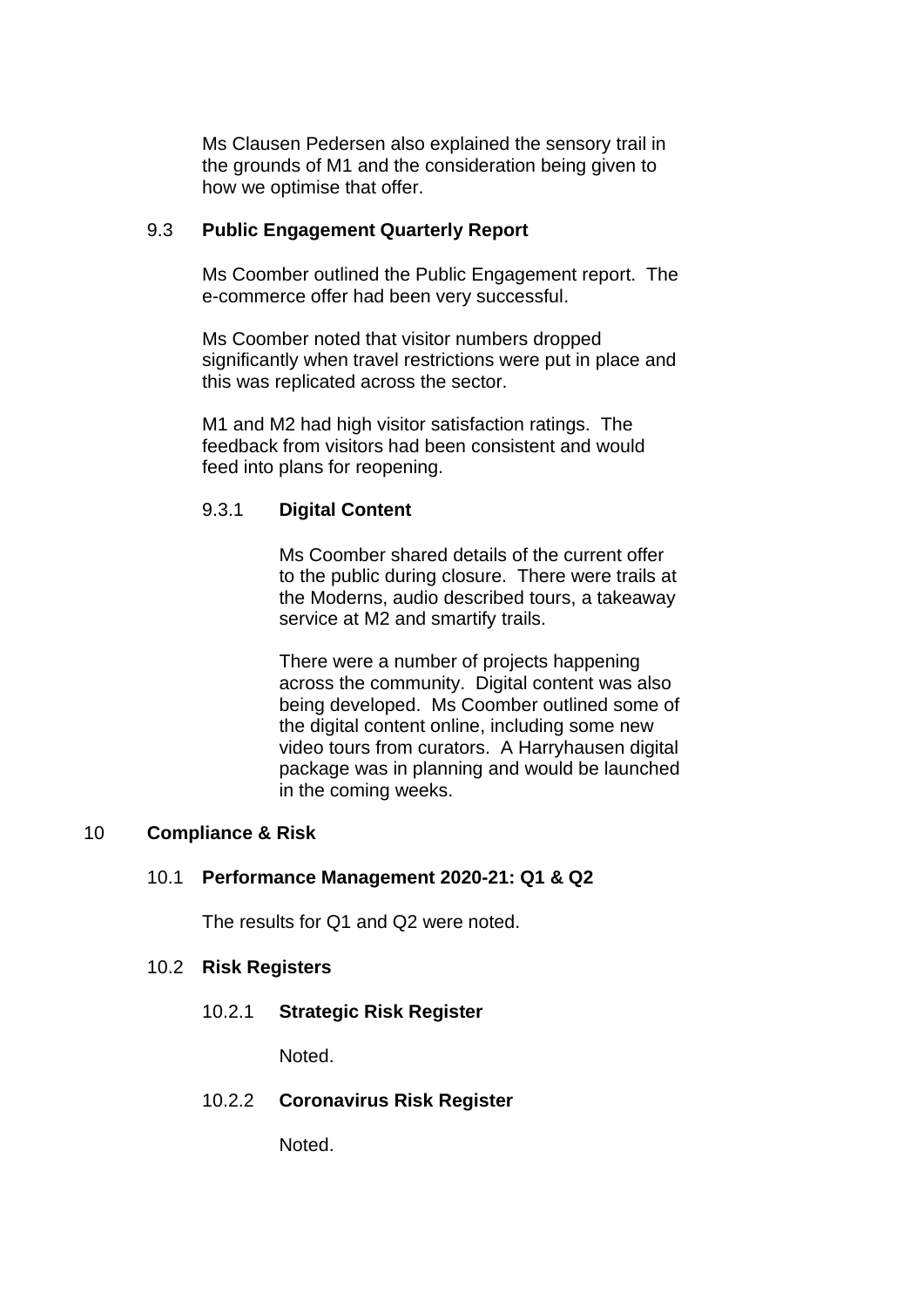Ms Clausen Pedersen also explained the sensory trail in the grounds of M1 and the consideration being given to how we optimise that offer.

### 9.3 **Public Engagement Quarterly Report**

Ms Coomber outlined the Public Engagement report. The e-commerce offer had been very successful.

Ms Coomber noted that visitor numbers dropped significantly when travel restrictions were put in place and this was replicated across the sector.

M1 and M2 had high visitor satisfaction ratings. The feedback from visitors had been consistent and would feed into plans for reopening.

## 9.3.1 **Digital Content**

Ms Coomber shared details of the current offer to the public during closure. There were trails at the Moderns, audio described tours, a takeaway service at M2 and smartify trails.

There were a number of projects happening across the community. Digital content was also being developed. Ms Coomber outlined some of the digital content online, including some new video tours from curators. A Harryhausen digital package was in planning and would be launched in the coming weeks.

## 10 **Compliance & Risk**

### 10.1 **Performance Management 2020-21: Q1 & Q2**

The results for Q1 and Q2 were noted.

### 10.2 **Risk Registers**

10.2.1 **Strategic Risk Register**

Noted.

10.2.2 **Coronavirus Risk Register**

Noted.